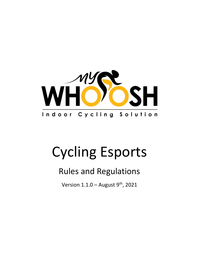

# Cycling Esports

# Rules and Regulations

Version  $1.1.0$  – August  $9^{\text{th}}$ , 2021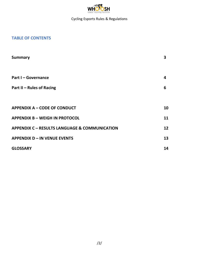

# **TABLE OF CONTENTS**

| <b>Summary</b>                                           | 3  |
|----------------------------------------------------------|----|
| <b>Part I - Governance</b>                               | 4  |
| <b>Part II - Rules of Racing</b>                         | 6  |
|                                                          |    |
| <b>APPENDIX A - CODE OF CONDUCT</b>                      | 10 |
| <b>APPENDIX B - WEIGH IN PROTOCOL</b>                    | 11 |
| <b>APPENDIX C - RESULTS LANGUAGE &amp; COMMUNICATION</b> | 12 |
| <b>APPENDIX D - IN VENUE EVENTS</b>                      | 13 |
| <b>GLOSSARY</b>                                          | 14 |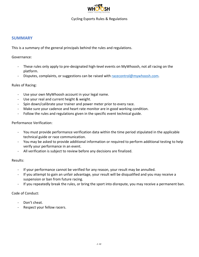

#### **SUMMARY**

This is a summary of the general principals behind the rules and regulations.

Governance:

- These rules only apply to pre-designated high-level events on MyWhoosh, not all racing on the platform.
- Disputes, complaints, or suggestions can be raised with [racecontrol@mywhoosh.com.](mailto:racecontrol@mywhoosh.com)

#### Rules of Racing:

- Use your own MyWhoosh account in your legal name.
- Use your real and current height & weight.
- Spin down/calibrate your trainer and power meter prior to every race.
- Make sure your cadence and heart rate monitor are in good working condition.
- Follow the rules and regulations given in the specific event technical guide.

Performance Verification:

- You must provide performance verification data within the time period stipulated in the applicable technical guide or race communication.
- You may be asked to provide additional information or required to perform additional testing to help verify your performance in an event.
- All verification is subject to review before any decisions are finalized.

Results:

- If your performance cannot be verified for any reason, your result may be annulled.
- If you attempt to gain an unfair advantage, your result will be disqualified and you may receive a suspension or ban from future racing.
- If you repeatedly break the rules, or bring the sport into disrepute, you may receive a permanent ban.

Code of Conduct:

- Don't cheat.
- Respect your fellow racers.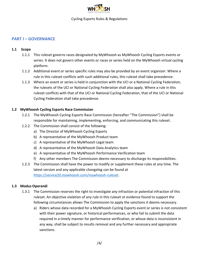

### **PART I – GOVERNANCE**

#### **1.1 Scope**

- 1.1.1 This ruleset governs races designated by MyWhoosh as MyWhoosh Cycling Esports events or series. It does not govern other events or races or series held on the MyWhoosh virtual cycling platform.
- 1.1.2 Additional event or series specific rules may also be provided by an event organizer. Where a rule in this ruleset conflicts with such additional rules, this ruleset shall take precedence.
- 1.1.3 Where an event or series is held in conjunction with the UCI or a National Cycling Federation, the rulesets of the UCI or National Cycling Federation shall also apply. Where a rule in this ruleset conflicts with that of the UCI or National Cycling Federation, that of the UCI or National Cycling Federation shall take precedence.

#### **1.2 MyWhoosh Cycling Esports Race Commission**

- 1.2.1 The MyWhoosh Cycling Esports Race Commission (hereafter "The Commission") shall be responsible for maintaining, implementing, enforcing, and communicating this ruleset.
- 1.2.2 The Commission shall consist of the following:
	- a) The Director of MyWhoosh Cycling Esports
	- b) A representative of the MyWhoosh Product team
	- c) A representative of the MyWhoosh Legal team
	- d) A representative of the MyWhoosh Data Analytics team
	- e) A representative of the MyWhoosh Performance Verification team
	- f) Any other members The Commission deems necessary to discharge its responsibilities.
- 1.2.3 The Commission shall have the power to modify or supplement these rules at any time. The latest version and any applicable changelog can be found at [https://service20.mywhoosh.com/mywhoosh-ruleset.](https://service20.mywhoosh.com/mywhoosh-ruleset)

#### **1.3 Modus Operandi**

- 1.3.1 The Commission reserves the right to investigate any infraction or potential infraction of this ruleset. An objective violation of any rule in this ruleset or evidence found to support the following circumstances allows The Commission to apply the sanctions it deems necessary.
	- a) Riders whose data recorded for a MyWhoosh Cycling Esports event or series is not consistent with their power signature, or historical performances, or who fail to submit the data required in a timely manner for performance verification, or whose data is inconsistent in any way, shall be subject to results removal and any further necessary and appropriate sanctions.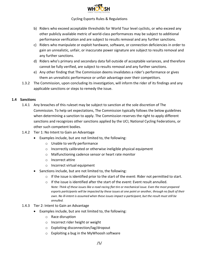

- b) Riders who exceed acceptable thresholds for World Tour level cyclists, or who exceed any other publicly available metric of world-class performances may be subject to additional performance verification and are subject to results removal and any further sanctions.
- c) Riders who manipulate or exploit hardware, software, or connection deficiencies in order to gain an unrealistic, unfair, or inaccurate power signature are subject to results removal and any further sanctions.
- d) Riders who's primary and secondary data fall outside of acceptable variances, and therefore cannot be fully verified, are subject to results removal and any further sanctions.
- e) Any other finding that The Commission deems invalidates a rider's performance or gives them an unrealistic performance or unfair advantage over their competitors.
- 1.3.2 The Commission, upon concluding its investigation, will inform the rider of its findings and any applicable sanctions or steps to remedy the issue.

#### **1.4 Sanctions**

- 1.4.1 Any breaches of this ruleset may be subject to sanction at the sole discretion of The Commission. To help set expectations, The Commission typically follows the below guidelines when determining a sanction to apply. The Commission reserves the right to apply different sanctions and recognizes other sanctions applied by the UCI, National Cycling Federations, or other such competent bodies.
- 1.4.2 Tier 1: No Intent to Gain an Advantage
	- Examples include, but are not limited to, the following:
		- o Unable to verify performance
		- o Incorrectly calibrated or otherwise ineligible physical equipment
		- o Malfunctioning cadence sensor or heart rate monitor
		- o Incorrect attire
		- o Incorrect virtual equipment
	- Sanctions include, but are not limited to, the following:
		- o If the issue is identified prior to the start of the event: Rider not permitted to start.
		- o If the issue is identified after the start of the event: Event result annulled. *Note: Think of these issues like a road racing flat tire or mechanical issue. Even the most prepared esports participants will be impacted by these issues at one point or another, through no fault of their own. No ill-intent is assumed when these issues impact a participant, but the result must still be annulled.*
- 1.4.3 Tier 2: Intent to Gain an Advantage
	- Examples include, but are not limited to, the following:
		- o Race disruption
		- o Incorrect rider height or weight
		- o Exploiting disconnection/lag/dropout
		- o Exploiting a bug in the MyWhoosh software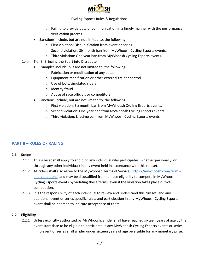

- o Failing to provide data or communication in a timely manner with the performance verification process
- Sanctions include, but are not limited to, the following:
	- o First violation: Disqualification from event or series.
	- o Second violation: Six month ban from MyWhoosh Cycling Esports events.
	- o Third violation: One year ban from MyWhoosh Cycling Esports events.
- 1.4.4 Tier 3: Bringing the Sport into Disrepute
	- Examples include, but are not limited to, the following:
		- o Fabrication or modification of any data
		- o Equipment modification or other external trainer control
		- o Use of bots/simulated riders
		- o Identity fraud
		- o Abuse of race officials or competitors
	- Sanctions include, but are not limited to, the following:
		- o First violation: Six month ban from MyWhoosh Cycling Esports events.
		- o Second violation: One year ban from MyWhoosh Cycling Esports events.
		- o Third violation: Lifetime ban from MyWhoosh Cycling Esports events.

# **PART II – RULES OF RACING**

#### **2.1 Scope**

- 2.1.1 This ruleset shall apply to and bind any individual who participates (whether personally, or through any other individual) in any event held in accordance with this ruleset.
- 2.1.2 All riders shall also agree to the MyWhoosh Terms of Service [\(https://mywhoosh.com/terms](https://mywhoosh.com/terms-and-conditions)[and-conditions\)](https://mywhoosh.com/terms-and-conditions) and may be disqualified from, or lose eligibility to compete in MyWhoosh Cycling Esports events by violating these terms, even if the violation takes place out-ofcompetition.
- 2.1.3 It is the responsibility of each individual to review and understand this ruleset, and any additional event or series specific rules, and participation in any MyWhoosh Cycling Esports event shall be deemed to indicate acceptance of them.

#### **2.2 Eligibility**

2.2.1 Unless explicitly authorized by MyWhoosh, a rider shall have reached sixteen years of age by the event start date to be eligible to participate in any MyWhoosh Cycling Esports events or series. In no event or series shall a rider under sixteen years of age be eligible for any monetary prize.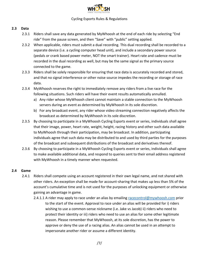

#### **2.3 Data**

- 2.3.1 Riders shall save any data generated by MyWhoosh at the end of each ride by selecting "End ride" from the pause screen, and then "Save" with "public" setting applied.
- 2.3.2 When applicable, riders must submit a dual recording. This dual recording shall be recorded to a separate device (i.e. a cycling computer head unit), and include a secondary power source (pedals or crank based power meter, NOT the smart trainer). Heart rate and cadence must be recorded in the dual recording as well, but may be the same signal as the primary source connected to the game.
- 2.3.3 Riders shall be solely responsible for ensuring that race data is accurately recorded and stored, and that no signal interference or other noise source impedes the recording or storage of race data.
- 2.3.4 MyWhoosh reserves the right to immediately remove any riders from a live race for the following situations. Such riders will have their event results automatically annulled.
	- a) Any rider whose MyWhoosh client cannot maintain a stable connection to the MyWhoosh servers during an event as determined by MyWhoosh in its sole discretion.
	- b) For any broadcast event, any rider whose video streaming connection negatively affects the broadcast as determined by MyWhoosh in its sole discretion.
- 2.3.5 By choosing to participate in a MyWhoosh Cycling Esports event or series, individuals shall agree that their image, power, heart rate, weight, height, racing history and other such data available to MyWhoosh through their participation, may be broadcast. In addition, participating individuals agree that such data may be distributed to and used by third parties for the purposes of the broadcast and subsequent distributions of the broadcast and derivatives thereof.
- 2.3.6 By choosing to participate in a MyWhoosh Cycling Esports event or series, individuals shall agree to make available additional data, and respond to queries sent to their email address registered with MyWhoosh in a timely manner when requested.

#### **2.4 Game**

- 2.4.1 Riders shall compete using an account registered in their own legal name, and not shared with other riders. An exception shall be made for account-sharing that makes up less than 5% of the account's cumulative time and is not used for the purposes of unlocking equipment or otherwise gaining an advantage in game.
	- 2.4.1.1 A rider may apply to race under an alias by emailing [racecontrol@mywhoosh.com](mailto:racecontrol@mywhoosh.com) prior to the start of the event. Approval to race under an alias will be provided for i) riders wishing to use a common-sense nickname (i.e. Jake vs Jacob) ii) riders who need to protect their identity or iii) riders who need to use an alias for some other legitimate reason. Please remember that MyWhoosh, at its sole discretion, has the power to approve or deny the use of a racing alias. An alias cannot be used in an attempt to impersonate another rider or assume a different identity.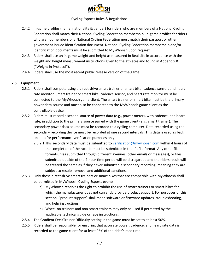

- 2.4.2 In-game profiles (name, nationality & gender) for riders who are members of a National Cycling Federation shall match their National Cycling Federation membership. In-game profiles for riders who are not members of a National Cycling Federation must match their passport or other government-issued identification document. National Cycling Federation membership and/or identification documents must be submitted to MyWhoosh upon request.
- 2.4.3 Riders shall use an in-game weight and height as measured In Real Life in accordance with the weight and height measurement instructions given to the athletes and found in Appendix B ("Weight In Protocol").
- 2.4.4 Riders shall use the most recent public release version of the game.

#### **2.5 Equipment**

- 2.5.1 Riders shall compete using a direct-drive smart trainer or smart bike, cadence sensor, and heart rate monitor. Smart trainer or smart bike, cadence sensor, and heart rate monitor must be connected to the MyWhoosh game client. The smart trainer or smart bike must be the primary power data source and must also be connected to the MyWhoosh game client as the controllable device.
- 2.5.2 Riders must record a second source of power data (e.g., power meter), with cadence, and heart rate, in addition to the primary source paired with the game client (e.g., smart trainer). The secondary power data source must be recorded to a cycling computer. Data recorded using the secondary recording device must be recorded at one second intervals. This data is used as back up data for performance verification purposes only.
	- 2.5.2.1 This secondary data must be submitted to [verification@mywhoosh.com](mailto:verification@mywhoosh.com) within 4 hours of the completion of the race. It must be submitted in the .fit file format. Any other file formats, files submitted through different avenues (other emails or messages), or files submitted outside of the 4-hour time period will be disregarded and the riders result will be treated the same as if they never submitted a secondary recording, meaning they are subject to results removal and additional sanctions.
- 2.5.3 Only those direct-drive smart trainers or smart bikes that are compatible with MyWhoosh shall be permitted in MyWhoosh Cycling Esports events.
	- a) MyWhoosh reserves the right to prohibit the use of smart trainers or smart bikes for which the manufacturer does not currently provide product support. For purposes of this section, "product support" shall mean software or firmware updates, troubleshooting, and help instructions.
	- b) Wheel-on trainers and non-smart trainers may only be used if permitted by the applicable technical guide or race instructions.
- 2.5.4 The Gradient Feel/Trainer Difficulty setting in the game must be set to at least 50%.
- 2.5.5 Riders shall be responsible for ensuring that accurate power, cadence, and heart rate data is recorded to the game client for at least 95% of the rider's race time.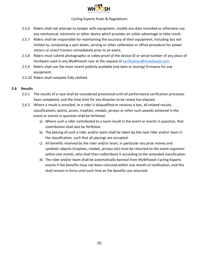

- 2.5.6 Riders shall not attempt to tamper with equipment, modify any data recorded or otherwise use any mechanical, electronic or other device which provides an unfair advantage or false result.
- 2.5.7 Riders shall be responsible for maintaining the accuracy of their equipment, including but not limited to, conducting a spin-down, zeroing or other calibration or offset procedure for power meters or smart trainers immediately prior to an event.
- 2.5.8 Riders must submit photographic or video proof of the device ID or serial number of any piece of hardware used in any MyWhoosh race at the request of [verification@mywhoosh.com.](mailto:verification@mywhoosh.com)
- 2.5.9 Riders shall use the most recent publicly available (not beta or testing) firmware for any equipment.
- 2.5.10 Riders shall compete fully clothed.

#### **2.6 Results**

- 2.6.1 The results of a race shall be considered provisional until all performance verification processes have completed, and the time limit for any disputes to be raised has elapsed.
- 2.6.2 Where a result is annulled, or a rider is disqualified or receives a ban, all related results, classifications, points, prizes, trophies, medals, jerseys or other such awards achieved in the event or events in question shall be forfeited.
	- a) Where such a rider contributed to a team result in the event or events in question, that contribution shall also be forfeited.
	- b) The placing of such a rider and/or team shall be taken by the next rider and/or team in the classification, such that all placings are occupied.
	- c) All benefits received by the rider and/or team, in particular any prize money and symbolic objects (trophies, medals, jerseys etc) must be returned to the event organizer within one month, who shall then redistribute it according to the amended classification.
	- d) The rider and/or team shall be automatically banned from MyWhoosh Cycling Esports events if the benefits have not been returned within one month of notification, and this shall remain in force until such time as the benefits are returned.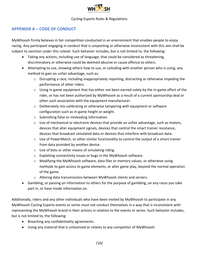

# **APPENDIX A – CODE OF CONDUCT**

MyWhoosh firmly believes in fair competition conducted in an environment that enables people to enjoy racing. Any participant engaging in conduct that is unsporting or otherwise inconsistent with this aim shall be subject to sanction under this ruleset. Such behavior includes, but is not limited to, the following:

- Taking any actions, including use of language, that could be considered as threatening, discriminatory or otherwise could be deemed abusive or cause offence to others.
- Attempting to use, showing others how to use, or colluding with another person who is using, any method to gain an unfair advantage, such as:
	- $\circ$  Disrupting a race, including inappropriately reporting, distracting or otherwise impeding the performance of other riders.
	- $\circ$  Using in-game equipment that has either not been earned solely by the in-game effort of the rider, or has not been authorized by MyWhoosh as a result of a current sponsorship deal or other such association with the equipment manufacturer.
	- $\circ$  Deliberately mis-calibrating or otherwise tampering with equipment or software configuration such as in-game height or weight.
	- o Submitting false or misleading information.
	- $\circ$  Use of mechanical or electronic devices that provide an unfair advantage, such as motors, devices that alter equipment signals, devices that control the smart trainer resistance, devices that broadcast simulated data or devices that interfere with broadcast data.
	- $\circ$  Use of PowerMatch, or other similar functionality to control the output of a smart trainer from data provided by another device.
	- o Use of bots or other means of simulating riding.
	- o Exploiting connectivity issues or bugs in the MyWhoosh software.
	- $\circ$  Modifying the MyWhoosh software, data files or memory values, or otherwise using methods to gain access to game elements, or alter game play, beyond the normal operation of the game.
	- $\circ$  Altering data transmissions between MyWhoosh clients and servers.
- Gambling, or passing on information to others for the purpose of gambling, on any races you take part in, or have inside information on.

Additionally, riders and any other individuals who have been invited by MyWhoosh to participate in any MyWhoosh Cycling Esports events or series must not conduct themselves in a way that is inconsistent with representing the MyWhoosh brand in their actions in relation to the events or series. Such behavior includes, but is not limited to, the following:

- Breaching any confidentiality agreements.
- Using any material that is unlicensed or relates to any competitor of MyWhoosh.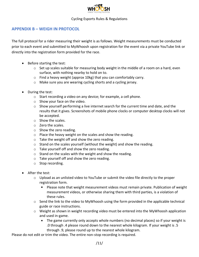

## **APPENDIX B – WEIGH IN PROTOCOL**

The full protocol for a rider measuring their weight is as follows. Weight measurements must be conducted prior to each event and submitted to MyWhoosh upon registration for the event via a private YouTube link or directly into the registration form provided for the race.

- Before starting the test:
	- o Set up scales suitable for measuring body weight in the middle of a room on a hard, even surface, with nothing nearby to hold on to.
	- o Find a heavy weight (approx 10kg) that you can comfortably carry.
	- o Make sure you are wearing cycling shorts and a cycling jersey.
- During the test:
	- o Start recording a video on any device; for example, a cell phone.
	- o Show your face on the video.
	- $\circ$  Show yourself performing a live internet search for the current time and date, and the results that it gives. Screenshots of mobile phone clocks or computer desktop clocks will not be accepted.
	- o Show the scales.
	- o Zero the scales.
	- $\circ$  Show the zero reading.
	- o Place the heavy weight on the scales and show the reading.
	- o Take the weight off and show the zero reading.
	- o Stand on the scales yourself (without the weight) and show the reading.
	- o Take yourself off and show the zero reading.
	- $\circ$  Stand on the scales with the weight and show the reading.
	- o Take yourself off and show the zero reading.
	- o Stop recording.
- After the test:
	- $\circ$  Upload as an unlisted video to YouTube or submit the video file directly to the proper registration form.
		- $\mathbf{u}$ Please note that weight measurement videos must remain private. Publication of weight measurement videos, or otherwise sharing them with third parties, is a violation of these rules.
	- o Send the link to the video to MyWhoosh using the form provided in the applicable technical guide or race instructions.
	- $\circ$  Weight as shown in weight recording video must be entered into the MyWhoosh application and used in-game.
		- The game currently only accepts whole numbers (no decimal places) so if your weight is .0 through .4 please round down to the nearest whole kilogram. If your weight is .5 through .9, please round up to the nearest whole kilogram.

Please do not edit or trim the video. The entire non-stop recording is required.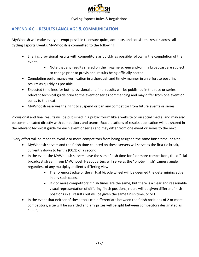

# **APPENDIX C – RESULTS LANGUAGE & COMMUNICATION**

MyWhoosh will make every attempt possible to ensure quick, accurate, and consistent results across all Cycling Esports Events. MyWhoosh is committed to the following:

- Sharing provisional results with competitors as quickly as possible following the completion of the event.
	- Note that any results shared on the in-game screen and/or in a broadcast are subject to change prior to provisional results being officially posted.
- Completing performance verification in a thorough and timely manner in an effort to post final results as quickly as possible.
- Expected timelines for both provisional and final results will be published in the race or series relevant technical guide prior to the event or series commencing and may differ from one event or series to the next.
- MyWhoosh reserves the right to suspend or ban any competitor from future events or series.

Provisional and final results will be published in a public forum like a website or on social media, and may also be communicated directly with competitors and teams. Exact locations of results publication will be shared in the relevant technical guide for each event or series and may differ from one event or series to the next.

Every effort will be made to avoid 2 or more competitors from being assigned the same finish time, or a tie.

- MyWhoosh servers and the finish time counted on these servers will serve as the first tie break, currently down to tenths (00.1) of a second.
- In the event the MyWhoosh servers have the same finish time for 2 or more competitors, the official broadcast stream from MyWhoosh Headquarters will serve as the "photo-finish" camera angle, regardless of any multiplayer client's differing view.
	- The foremost edge of the virtual bicycle wheel will be deemed the determining edge in any such cases.
	- If 2 or more competitors' finish times are the same, but there is a clear and reasonable visual representation of differing finish positions, riders will be given different finish positions in all results but will be given the same finish time, or SFT.
- In the event that neither of these tools can differentiate between the finish positions of 2 or more competitors, a tie will be awarded and any prizes will be split between competitors designated as "tied".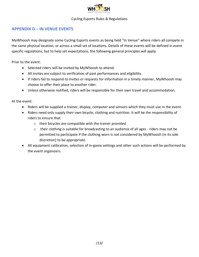

# **APPENDIX D – IN VENUE EVENTS**

MyWhoosh may designate some Cycling Esports events as being held "In Venue" where riders all compete in the same physical location, or across a small set of locations. Details of these events will be defined in event specific regulations, but to help set expectations, the following general principles will apply.

Prior to the event:

- Selected riders will be invited by MyWhoosh to attend.
- All invites are subject to verification of past performances and eligibility.
- If riders fail to respond to invites or requests for information in a timely manner, MyWhoosh may choose to offer their place to another rider.
- Unless otherwise notified, riders will be responsible for their own travel and accommodation.

At the event:

- Riders will be supplied a trainer, display, computer and sensors which they must use in the event.
- Riders need only supply their own bicycle, clothing and nutrition. It will be the responsibility of riders to ensure that:
	- o their bicycles are compatible with the trainer provided.
	- $\circ$  their clothing is suitable for broadcasting to an audience of all ages riders may not be permitted to participate if the clothing worn is not considered by MyWhoosh (in its sole discretion) to be appropriate.
- All equipment calibration, selection of in-game settings and other such actions will be performed by the event organizers.